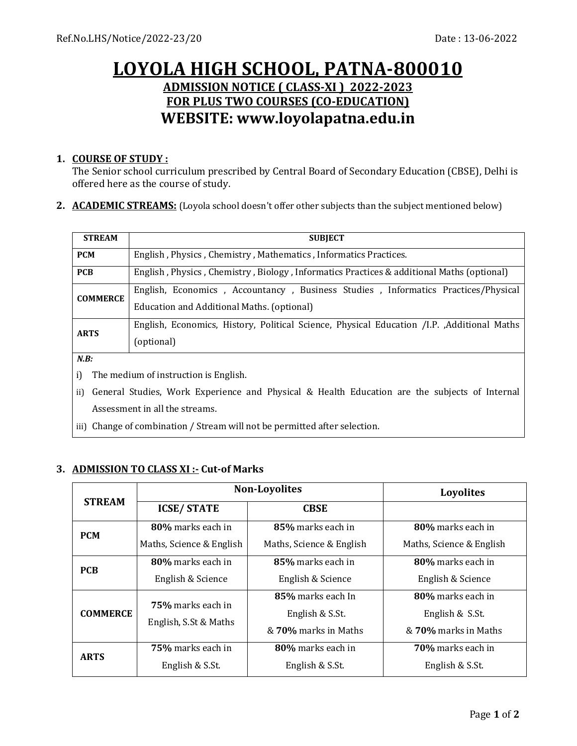# **LOYOLA HIGH SCHOOL, PATNA-800010 ADMISSION NOTICE ( CLASS-XI ) 2022-2023 FOR PLUS TWO COURSES (CO-EDUCATION) WEBSITE: www.loyolapatna.edu.in**

#### **1. COURSE OF STUDY :**

The Senior school curriculum prescribed by Central Board of Secondary Education (CBSE), Delhi is offered here as the course of study.

**2. ACADEMIC STREAMS:** (Loyola school doesn't offer other subjects than the subject mentioned below)

| <b>STREAM</b>                                                                                        | <b>SUBJECT</b>                                                                                                                  |  |  |  |
|------------------------------------------------------------------------------------------------------|---------------------------------------------------------------------------------------------------------------------------------|--|--|--|
| <b>PCM</b>                                                                                           | English, Physics, Chemistry, Mathematics, Informatics Practices.                                                                |  |  |  |
| <b>PCB</b>                                                                                           | English, Physics, Chemistry, Biology, Informatics Practices & additional Maths (optional)                                       |  |  |  |
| <b>COMMERCE</b>                                                                                      | English, Economics, Accountancy, Business Studies, Informatics Practices/Physical<br>Education and Additional Maths. (optional) |  |  |  |
| <b>ARTS</b>                                                                                          | English, Economics, History, Political Science, Physical Education /I.P. , Additional Maths<br>(optional)                       |  |  |  |
| N.B:                                                                                                 |                                                                                                                                 |  |  |  |
| i)<br>The medium of instruction is English.                                                          |                                                                                                                                 |  |  |  |
| General Studies, Work Experience and Physical & Health Education are the subjects of Internal<br>ii) |                                                                                                                                 |  |  |  |

Assessment in all the streams.

iii) Change of combination / Stream will not be permitted after selection.

#### **3. ADMISSION TO CLASS XI :- Cut-of Marks**

| <b>STREAM</b>   | <b>Non-Loyolites</b>     |                          | Loyolites                |
|-----------------|--------------------------|--------------------------|--------------------------|
|                 | <b>ICSE/STATE</b>        | <b>CBSE</b>              |                          |
| <b>PCM</b>      | 80% marks each in        | 85% marks each in        | 80% marks each in        |
|                 | Maths, Science & English | Maths, Science & English | Maths, Science & English |
| <b>PCB</b>      | 80% marks each in        | 85% marks each in        | 80% marks each in        |
|                 | English & Science        | English & Science        | English & Science        |
| <b>COMMERCE</b> | 75% marks each in        | 85% marks each In        | 80% marks each in        |
|                 | English, S.St & Maths    | English & S.St.          | English & S.St.          |
|                 |                          | & 70% marks in Maths     | & 70% marks in Maths     |
| <b>ARTS</b>     | <b>75%</b> marks each in | 80% marks each in        | <b>70%</b> marks each in |
|                 | English & S.St.          | English & S.St.          | English & S.St.          |